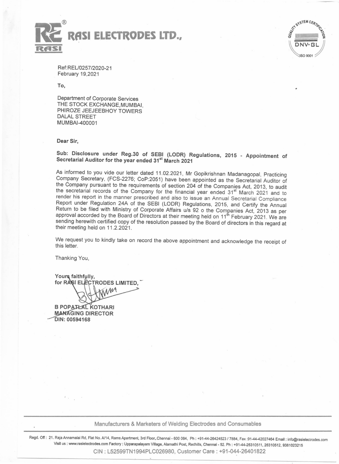



Ref:REU0257/2020-21 February 19,2021

To,

Department of Corporate Services THE STOCK EXCHANGE,MUMBAI, PHIROZE JEEJEEBHOY TOWERS DALAL STREET MUMBAI-400001

#### Dear Sir,

Sub: Disclosure under Reg.30 of SEBI (LODR) Regulations, 2015 - Appointment of Secretarial Auditor for the year ended 31<sup>st</sup> March 2021

As informed to you vide our letter dated 11.02.2021, Mr Gopikrishnan Madanagopal, Practicing Company Secretary, (FCS-2276; CoP:2051) have been appointed as the Secretarial Auditor of the Company pursuant to the requirements of section 204 of the Companies Act, 2013, to audit the secretarial records of the Company for the financial year ended 31<sup>st</sup> March 2021 and to render his report in the manner prescribed and also to issue an Annual Secretarial Compliance Report under Regulation 24A of the SEBI (LODR) Regulations, 2015, and Certify the Annual Return to be filed with Ministry of Corporate Affairs u/s 92 o the Companies Act, 2013 as per approval accorded by the Board of Directors at their meeting held on 11<sup>th</sup> February 2021. We are sending herewith certified copy of the resolution passed by the Board of directors in this regard at their meeting held on 11.2.2021.

We request you to kindly take on record the above appointment and acknowledge the receipt of this letter.

Thanking You,

Yours faithfully, for RASI ELECTRODES LIMITED. AM

**B POPATŁAL KOTHARI MANAGING DIRECTOR** DIN: 00594168

## Manufacturers & Marketers of Welding Electrodes and Consumables

Regd. Off: 21. Raja Annamalai Rd. Flat No. *Al14,* Rams Apartment, 3rd Floor~Chennai • 600 084. Ph: *+91-44·26424523/7884,* Fax:91-44-42027464 EmaiJ : info@rasielecirodes.com Visit us: www.rasielectrodes.com Factory: Upparapalayam Village, Alamathi Post, Redhills, Chennai - 52. Ph: +91-44-26310511, 26310512, 9381023215 CIN: L52599TN1994PLC026980, Customer Care: +91-044-26401822